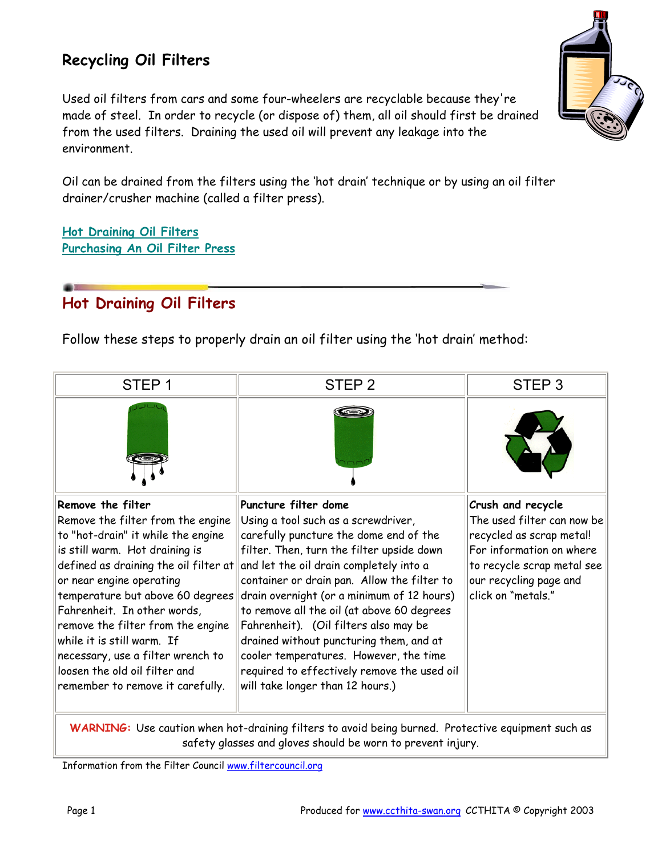## **Recycling Oil Filters**

Used oil filters from cars and some four-wheelers are recyclable because they're made of steel. In order to recycle (or dispose of) them, all oil should first be drained from the used filters. Draining the used oil will prevent any leakage into the environment.

Oil can be drained from the filters using the 'hot drain' technique or by using an oil filter drainer/crusher machine (called a filter press).

**Hot Draining Oil Filters Purchasing An Oil Filter Press**

## **Hot Draining Oil Filters**

Follow these steps to properly drain an oil filter using the 'hot drain' method:

| STEP <sub>1</sub>                                                                                                                                                                                                                                                                                                                                                                                          | STEP <sub>2</sub>                                                                                                                                                                                                                                                                                                                                                                                                                                                                                                                                                                               | STEP <sub>3</sub>                                                                                                                                                                     |  |
|------------------------------------------------------------------------------------------------------------------------------------------------------------------------------------------------------------------------------------------------------------------------------------------------------------------------------------------------------------------------------------------------------------|-------------------------------------------------------------------------------------------------------------------------------------------------------------------------------------------------------------------------------------------------------------------------------------------------------------------------------------------------------------------------------------------------------------------------------------------------------------------------------------------------------------------------------------------------------------------------------------------------|---------------------------------------------------------------------------------------------------------------------------------------------------------------------------------------|--|
|                                                                                                                                                                                                                                                                                                                                                                                                            |                                                                                                                                                                                                                                                                                                                                                                                                                                                                                                                                                                                                 |                                                                                                                                                                                       |  |
| Remove the filter<br>Remove the filter from the engine<br>to "hot-drain" it while the engine<br>is still warm. Hot draining is<br>or near engine operating<br>temperature but above 60 degrees<br>Fahrenheit. In other words,<br>remove the filter from the engine<br>while it is still warm. If<br>necessary, use a filter wrench to<br>loosen the old oil filter and<br>remember to remove it carefully. | Puncture filter dome<br>Using a tool such as a screwdriver,<br>carefully puncture the dome end of the<br>filter. Then, turn the filter upside down<br>defined as draining the oil filter at and let the oil drain completely into a<br>container or drain pan. Allow the filter to<br>drain overnight (or a minimum of 12 hours)<br>to remove all the oil (at above 60 degrees<br>Fahrenheit). (Oil filters also may be<br>drained without puncturing them, and at<br>cooler temperatures. However, the time<br>required to effectively remove the used oil<br>will take longer than 12 hours.) | Crush and recycle<br>The used filter can now be<br>recycled as scrap metal!<br>For information on where<br>to recycle scrap metal see<br>our recycling page and<br>click on "metals." |  |
| WARNING: Use caution when hot-draining filters to avoid being burned. Protective equipment such as<br>safety glasses and gloves should be worn to prevent injury.                                                                                                                                                                                                                                          |                                                                                                                                                                                                                                                                                                                                                                                                                                                                                                                                                                                                 |                                                                                                                                                                                       |  |

Information from the Filter Council www.filtercouncil.org

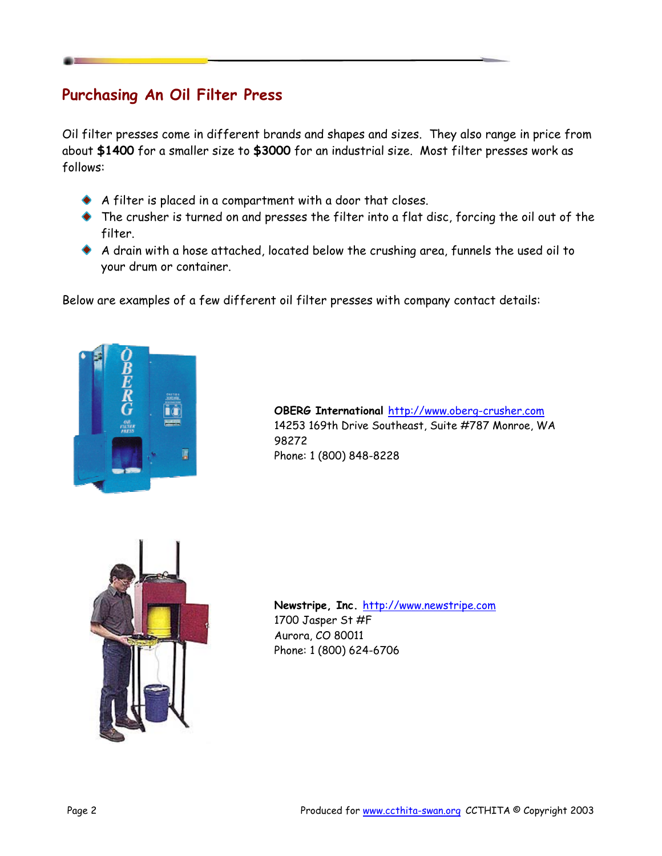## **Purchasing An Oil Filter Press**

Oil filter presses come in different brands and shapes and sizes. They also range in price from about **\$1400** for a smaller size to **\$3000** for an industrial size. Most filter presses work as follows:

- A filter is placed in a compartment with a door that closes.
- The crusher is turned on and presses the filter into a flat disc, forcing the oil out of the filter.
- A drain with a hose attached, located below the crushing area, funnels the used oil to your drum or container.

Below are examples of a few different oil filter presses with company contact details:



**OBERG International** <http://www.oberg-crusher.com> 14253 169th Drive Southeast, Suite #787 Monroe, WA 98272 Phone: 1 (800) 848-8228



**Newstripe, Inc.** <http://www.newstripe.com> 1700 Jasper St #F Aurora, CO 80011 Phone: 1 (800) 624-6706